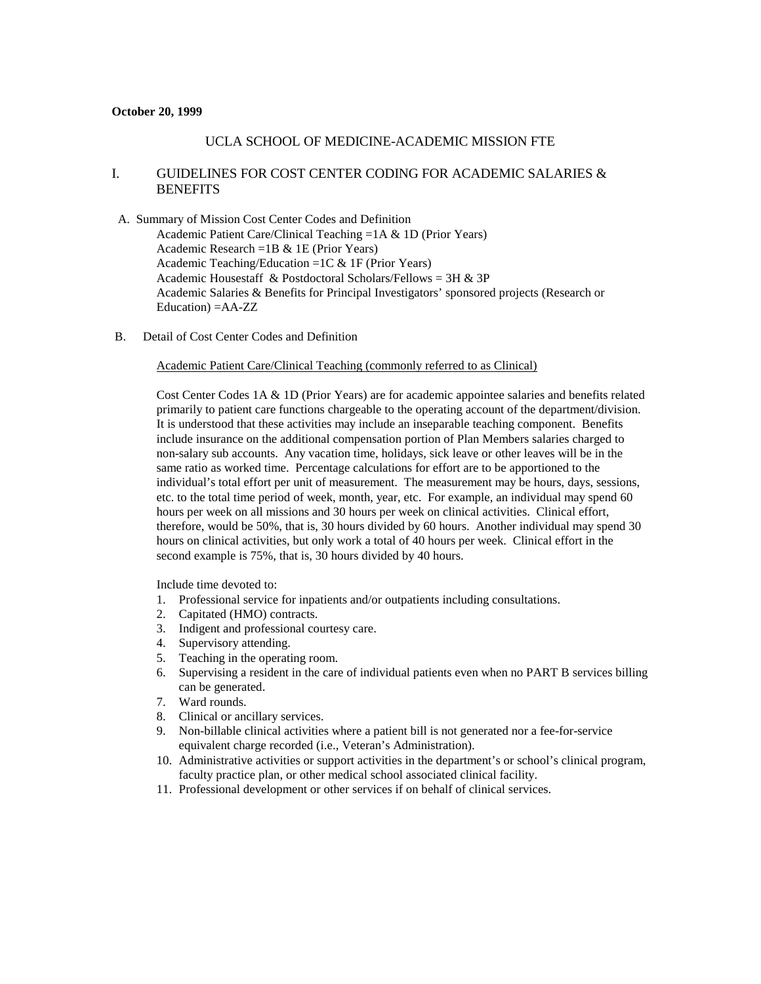#### **October 20, 1999**

### UCLA SCHOOL OF MEDICINE-ACADEMIC MISSION FTE

# I. GUIDELINES FOR COST CENTER CODING FOR ACADEMIC SALARIES & **BENEFITS**

- A. Summary of Mission Cost Center Codes and Definition Academic Patient Care/Clinical Teaching =1A & 1D (Prior Years) Academic Research =1B & 1E (Prior Years) Academic Teaching/Education =1C & 1F (Prior Years) Academic Housestaff & Postdoctoral Scholars/Fellows = 3H & 3P Academic Salaries & Benefits for Principal Investigators' sponsored projects (Research or Education) =AA-ZZ
- B. Detail of Cost Center Codes and Definition

Academic Patient Care/Clinical Teaching (commonly referred to as Clinical)

Cost Center Codes 1A & 1D (Prior Years) are for academic appointee salaries and benefits related primarily to patient care functions chargeable to the operating account of the department/division. It is understood that these activities may include an inseparable teaching component. Benefits include insurance on the additional compensation portion of Plan Members salaries charged to non-salary sub accounts. Any vacation time, holidays, sick leave or other leaves will be in the same ratio as worked time. Percentage calculations for effort are to be apportioned to the individual's total effort per unit of measurement. The measurement may be hours, days, sessions, etc. to the total time period of week, month, year, etc. For example, an individual may spend 60 hours per week on all missions and 30 hours per week on clinical activities. Clinical effort, therefore, would be 50%, that is, 30 hours divided by 60 hours. Another individual may spend 30 hours on clinical activities, but only work a total of 40 hours per week. Clinical effort in the second example is 75%, that is, 30 hours divided by 40 hours.

Include time devoted to:

- 1. Professional service for inpatients and/or outpatients including consultations.
- 2. Capitated (HMO) contracts.
- 3. Indigent and professional courtesy care.
- 4. Supervisory attending.
- 5. Teaching in the operating room.
- 6. Supervising a resident in the care of individual patients even when no PART B services billing can be generated.
- 7. Ward rounds.
- 8. Clinical or ancillary services.
- 9. Non-billable clinical activities where a patient bill is not generated nor a fee-for-service equivalent charge recorded (i.e., Veteran's Administration).
- 10. Administrative activities or support activities in the department's or school's clinical program, faculty practice plan, or other medical school associated clinical facility.
- 11. Professional development or other services if on behalf of clinical services.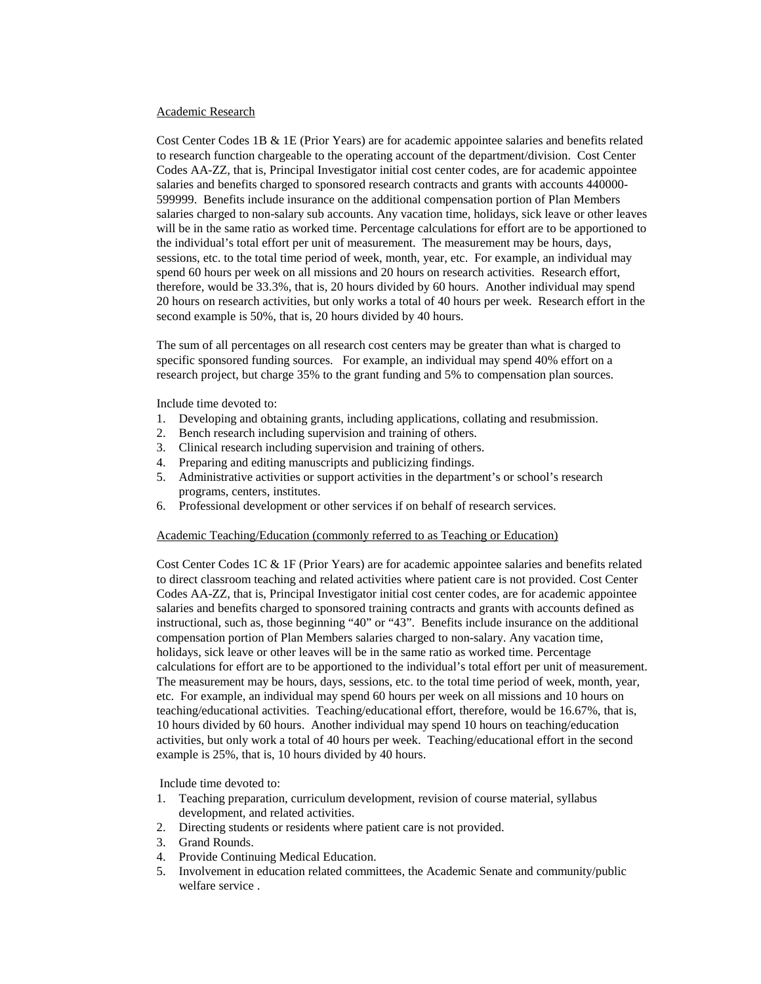### Academic Research

Cost Center Codes 1B & 1E (Prior Years) are for academic appointee salaries and benefits related to research function chargeable to the operating account of the department/division. Cost Center Codes AA-ZZ, that is, Principal Investigator initial cost center codes, are for academic appointee salaries and benefits charged to sponsored research contracts and grants with accounts 440000- 599999. Benefits include insurance on the additional compensation portion of Plan Members salaries charged to non-salary sub accounts. Any vacation time, holidays, sick leave or other leaves will be in the same ratio as worked time. Percentage calculations for effort are to be apportioned to the individual's total effort per unit of measurement. The measurement may be hours, days, sessions, etc. to the total time period of week, month, year, etc. For example, an individual may spend 60 hours per week on all missions and 20 hours on research activities. Research effort, therefore, would be 33.3%, that is, 20 hours divided by 60 hours. Another individual may spend 20 hours on research activities, but only works a total of 40 hours per week. Research effort in the second example is 50%, that is, 20 hours divided by 40 hours.

The sum of all percentages on all research cost centers may be greater than what is charged to specific sponsored funding sources. For example, an individual may spend 40% effort on a research project, but charge 35% to the grant funding and 5% to compensation plan sources.

Include time devoted to:

- 1. Developing and obtaining grants, including applications, collating and resubmission.
- 2. Bench research including supervision and training of others.
- 3. Clinical research including supervision and training of others.
- 4. Preparing and editing manuscripts and publicizing findings.
- 5. Administrative activities or support activities in the department's or school's research programs, centers, institutes.
- 6. Professional development or other services if on behalf of research services.

### Academic Teaching/Education (commonly referred to as Teaching or Education)

Cost Center Codes 1C & 1F (Prior Years) are for academic appointee salaries and benefits related to direct classroom teaching and related activities where patient care is not provided. Cost Center Codes AA-ZZ, that is, Principal Investigator initial cost center codes, are for academic appointee salaries and benefits charged to sponsored training contracts and grants with accounts defined as instructional, such as, those beginning "40" or "43". Benefits include insurance on the additional compensation portion of Plan Members salaries charged to non-salary. Any vacation time, holidays, sick leave or other leaves will be in the same ratio as worked time. Percentage calculations for effort are to be apportioned to the individual's total effort per unit of measurement. The measurement may be hours, days, sessions, etc. to the total time period of week, month, year, etc. For example, an individual may spend 60 hours per week on all missions and 10 hours on teaching/educational activities. Teaching/educational effort, therefore, would be 16.67%, that is, 10 hours divided by 60 hours. Another individual may spend 10 hours on teaching/education activities, but only work a total of 40 hours per week. Teaching/educational effort in the second example is 25%, that is, 10 hours divided by 40 hours.

Include time devoted to:

- 1. Teaching preparation, curriculum development, revision of course material, syllabus development, and related activities.
- 2. Directing students or residents where patient care is not provided.
- 3. Grand Rounds.
- 4. Provide Continuing Medical Education.
- 5. Involvement in education related committees, the Academic Senate and community/public welfare service .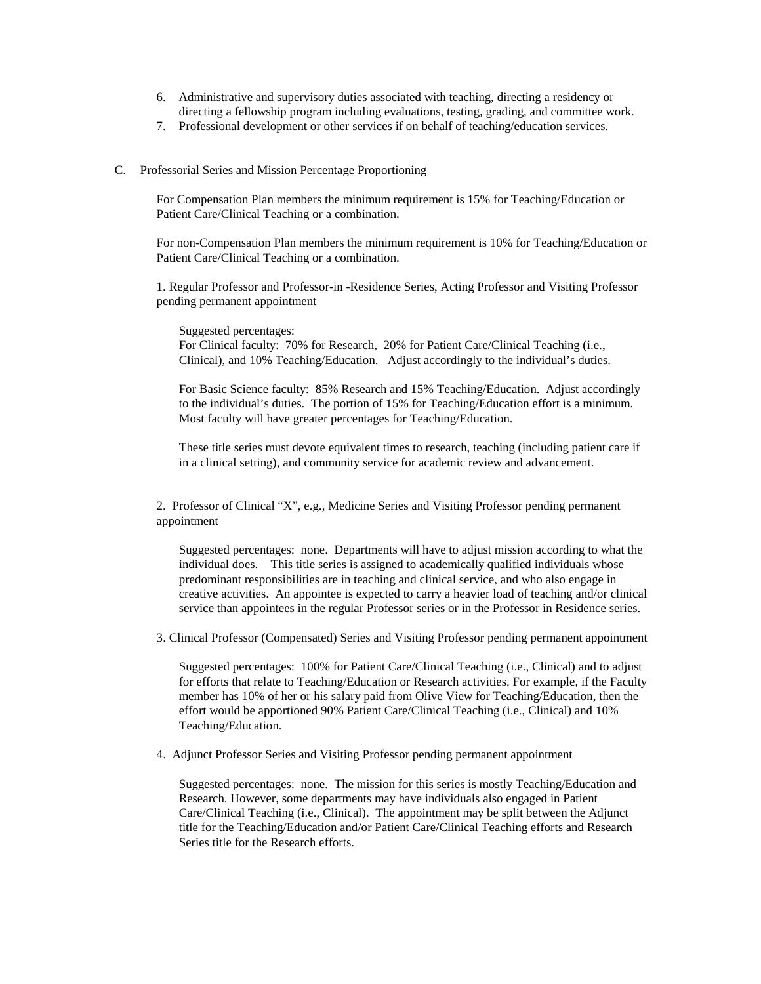- 6. Administrative and supervisory duties associated with teaching, directing a residency or directing a fellowship program including evaluations, testing, grading, and committee work.
- 7. Professional development or other services if on behalf of teaching/education services.

### C. Professorial Series and Mission Percentage Proportioning

For Compensation Plan members the minimum requirement is 15% for Teaching/Education or Patient Care/Clinical Teaching or a combination.

For non-Compensation Plan members the minimum requirement is 10% for Teaching/Education or Patient Care/Clinical Teaching or a combination.

1. Regular Professor and Professor-in -Residence Series, Acting Professor and Visiting Professor pending permanent appointment

Suggested percentages: For Clinical faculty: 70% for Research, 20% for Patient Care/Clinical Teaching (i.e., Clinical), and 10% Teaching/Education. Adjust accordingly to the individual's duties.

For Basic Science faculty: 85% Research and 15% Teaching/Education. Adjust accordingly to the individual's duties. The portion of 15% for Teaching/Education effort is a minimum. Most faculty will have greater percentages for Teaching/Education.

These title series must devote equivalent times to research, teaching (including patient care if in a clinical setting), and community service for academic review and advancement.

2. Professor of Clinical "X", e.g., Medicine Series and Visiting Professor pending permanent appointment

Suggested percentages: none. Departments will have to adjust mission according to what the individual does. This title series is assigned to academically qualified individuals whose predominant responsibilities are in teaching and clinical service, and who also engage in creative activities. An appointee is expected to carry a heavier load of teaching and/or clinical service than appointees in the regular Professor series or in the Professor in Residence series.

3. Clinical Professor (Compensated) Series and Visiting Professor pending permanent appointment

Suggested percentages: 100% for Patient Care/Clinical Teaching (i.e., Clinical) and to adjust for efforts that relate to Teaching/Education or Research activities. For example, if the Faculty member has 10% of her or his salary paid from Olive View for Teaching/Education, then the effort would be apportioned 90% Patient Care/Clinical Teaching (i.e., Clinical) and 10% Teaching/Education.

4. Adjunct Professor Series and Visiting Professor pending permanent appointment

Suggested percentages: none. The mission for this series is mostly Teaching/Education and Research. However, some departments may have individuals also engaged in Patient Care/Clinical Teaching (i.e., Clinical). The appointment may be split between the Adjunct title for the Teaching/Education and/or Patient Care/Clinical Teaching efforts and Research Series title for the Research efforts.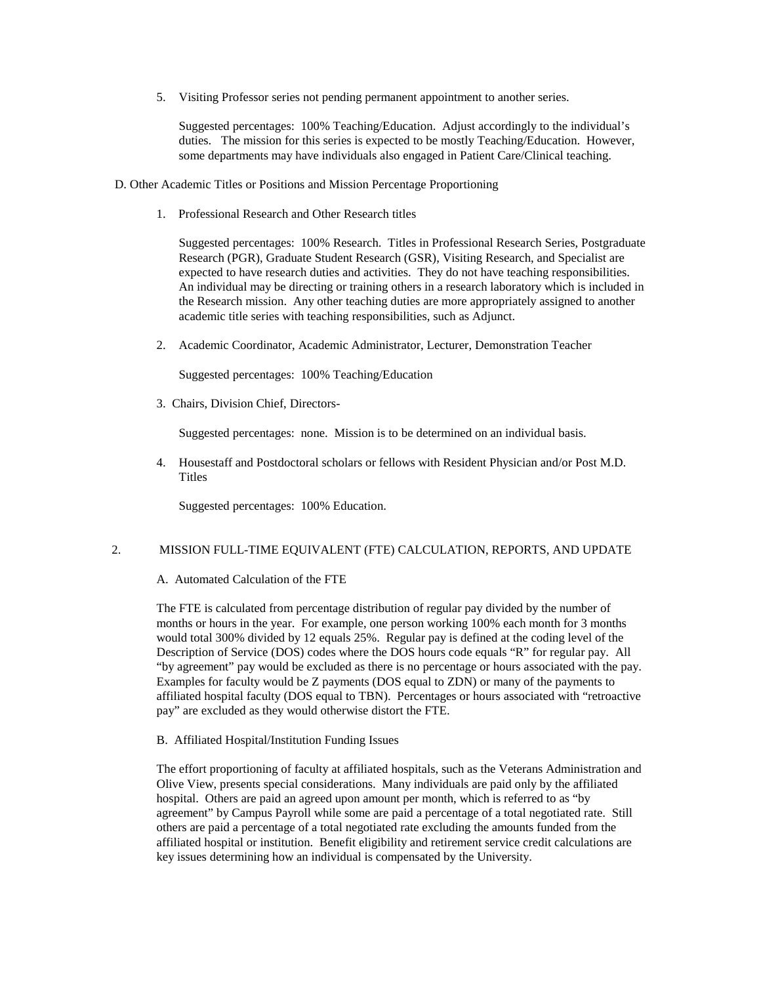5. Visiting Professor series not pending permanent appointment to another series.

Suggested percentages: 100% Teaching/Education. Adjust accordingly to the individual's duties. The mission for this series is expected to be mostly Teaching/Education. However, some departments may have individuals also engaged in Patient Care/Clinical teaching.

- D. Other Academic Titles or Positions and Mission Percentage Proportioning
	- 1. Professional Research and Other Research titles

Suggested percentages: 100% Research. Titles in Professional Research Series, Postgraduate Research (PGR), Graduate Student Research (GSR), Visiting Research, and Specialist are expected to have research duties and activities. They do not have teaching responsibilities. An individual may be directing or training others in a research laboratory which is included in the Research mission. Any other teaching duties are more appropriately assigned to another academic title series with teaching responsibilities, such as Adjunct.

2. Academic Coordinator, Academic Administrator, Lecturer, Demonstration Teacher

Suggested percentages: 100% Teaching/Education

3. Chairs, Division Chief, Directors-

Suggested percentages: none. Mission is to be determined on an individual basis.

4. Housestaff and Postdoctoral scholars or fellows with Resident Physician and/or Post M.D. **Titles** 

Suggested percentages: 100% Education.

## 2. MISSION FULL-TIME EQUIVALENT (FTE) CALCULATION, REPORTS, AND UPDATE

### A. Automated Calculation of the FTE

The FTE is calculated from percentage distribution of regular pay divided by the number of months or hours in the year. For example, one person working 100% each month for 3 months would total 300% divided by 12 equals 25%. Regular pay is defined at the coding level of the Description of Service (DOS) codes where the DOS hours code equals "R" for regular pay. All "by agreement" pay would be excluded as there is no percentage or hours associated with the pay. Examples for faculty would be Z payments (DOS equal to ZDN) or many of the payments to affiliated hospital faculty (DOS equal to TBN). Percentages or hours associated with "retroactive pay" are excluded as they would otherwise distort the FTE.

B. Affiliated Hospital/Institution Funding Issues

The effort proportioning of faculty at affiliated hospitals, such as the Veterans Administration and Olive View, presents special considerations. Many individuals are paid only by the affiliated hospital. Others are paid an agreed upon amount per month, which is referred to as "by agreement" by Campus Payroll while some are paid a percentage of a total negotiated rate. Still others are paid a percentage of a total negotiated rate excluding the amounts funded from the affiliated hospital or institution. Benefit eligibility and retirement service credit calculations are key issues determining how an individual is compensated by the University.